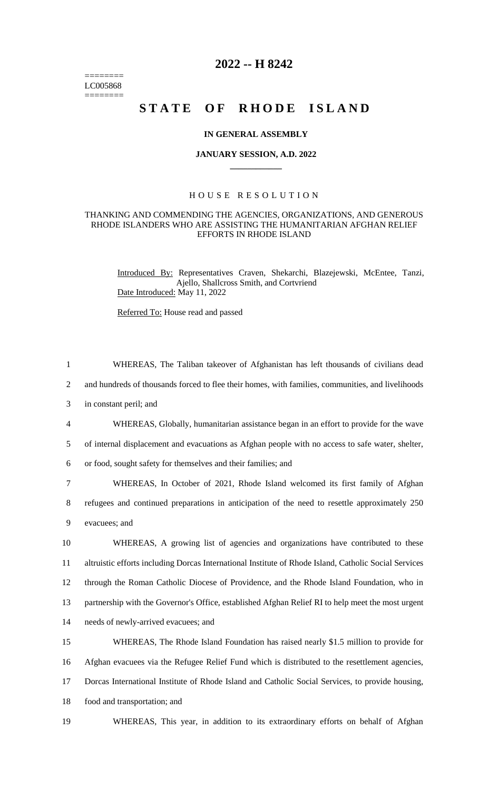======== LC005868  $=$ 

# **2022 -- H 8242**

# **STATE OF RHODE ISLAND**

#### **IN GENERAL ASSEMBLY**

#### **JANUARY SESSION, A.D. 2022 \_\_\_\_\_\_\_\_\_\_\_\_**

## H O U S E R E S O L U T I O N

## THANKING AND COMMENDING THE AGENCIES, ORGANIZATIONS, AND GENEROUS RHODE ISLANDERS WHO ARE ASSISTING THE HUMANITARIAN AFGHAN RELIEF EFFORTS IN RHODE ISLAND

Introduced By: Representatives Craven, Shekarchi, Blazejewski, McEntee, Tanzi, Ajello, Shallcross Smith, and Cortvriend Date Introduced: May 11, 2022

Referred To: House read and passed

| $\mathbf{1}$   | WHEREAS, The Taliban takeover of Afghanistan has left thousands of civilians dead                     |
|----------------|-------------------------------------------------------------------------------------------------------|
| $\overline{2}$ | and hundreds of thousands forced to flee their homes, with families, communities, and livelihoods     |
| 3              | in constant peril; and                                                                                |
| $\overline{4}$ | WHEREAS, Globally, humanitarian assistance began in an effort to provide for the wave                 |
| 5              | of internal displacement and evacuations as Afghan people with no access to safe water, shelter,      |
| 6              | or food, sought safety for themselves and their families; and                                         |
| 7              | WHEREAS, In October of 2021, Rhode Island welcomed its first family of Afghan                         |
| 8              | refugees and continued preparations in anticipation of the need to resettle approximately 250         |
| 9              | evacuees; and                                                                                         |
| 10             | WHEREAS, A growing list of agencies and organizations have contributed to these                       |
| 11             | altruistic efforts including Dorcas International Institute of Rhode Island, Catholic Social Services |
| 12             | through the Roman Catholic Diocese of Providence, and the Rhode Island Foundation, who in             |
| 13             | partnership with the Governor's Office, established Afghan Relief RI to help meet the most urgent     |
| 14             | needs of newly-arrived evacuees; and                                                                  |
| 15             | WHEREAS, The Rhode Island Foundation has raised nearly \$1.5 million to provide for                   |
| 16             | Afghan evacuees via the Refugee Relief Fund which is distributed to the resettlement agencies,        |
| 17             | Dorcas International Institute of Rhode Island and Catholic Social Services, to provide housing,      |
| 18             | food and transportation; and                                                                          |
| 19             | WHEREAS, This year, in addition to its extraordinary efforts on behalf of Afghan                      |